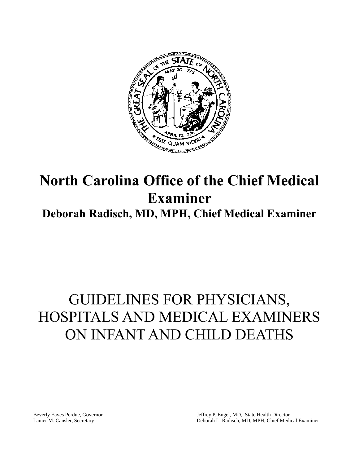

## **North Carolina Office of the Chief Medical Examiner Deborah Radisch, MD, MPH, Chief Medical Examiner**

## GUIDELINES FOR PHYSICIANS, HOSPITALS AND MEDICAL EXAMINERS ON INFANT AND CHILD DEATHS

Beverly Eaves Perdue, Governor Lanier M. Cansler, Secretary

Jeffrey P. Engel, MD, State Health Director Deborah L. Radisch, MD, MPH, Chief Medical Examiner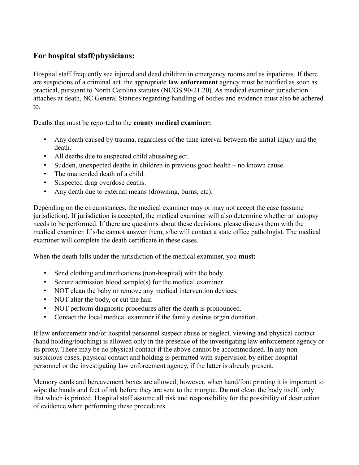## **For hospital staff/physicians:**

Hospital staff frequently see injured and dead children in emergency rooms and as inpatients. If there are suspicions of a criminal act, the appropriate **law enforcement** agency must be notified as soon as practical, pursuant to North Carolina statutes (NCGS 90-21.20). As medical examiner jurisdiction attaches at death, NC General Statutes regarding handling of bodies and evidence must also be adhered to.

Deaths that must be reported to the **county medical examiner:**

- Any death caused by trauma, regardless of the time interval between the initial injury and the death.
- All deaths due to suspected child abuse/neglect.
- Sudden, unexpected deaths in children in previous good health no known cause.
- The unattended death of a child.
- Suspected drug overdose deaths.
- Any death due to external means (drowning, burns, etc).

Depending on the circumstances, the medical examiner may or may not accept the case (assume jurisdiction). If jurisdiction is accepted, the medical examiner will also determine whether an autopsy needs to be performed. If there are questions about these decisions, please discuss them with the medical examiner. If s/he cannot answer them, s/he will contact a state office pathologist. The medical examiner will complete the death certificate in these cases.

When the death falls under the jurisdiction of the medical examiner, you **must:**

- Send clothing and medications (non-hospital) with the body.
- Secure admission blood sample(s) for the medical examiner.
- NOT clean the baby or remove any medical intervention devices.
- NOT alter the body, or cut the hair.
- NOT perform diagnostic procedures after the death is pronounced.
- Contact the local medical examiner if the family desires organ donation.

If law enforcement and/or hospital personnel suspect abuse or neglect, viewing and physical contact (hand holding/touching) is allowed only in the presence of the investigating law enforcement agency or its proxy. There may be no physical contact if the above cannot be accommodated. In any nonsuspicious cases, physical contact and holding is permitted with supervision by either hospital personnel or the investigating law enforcement agency, if the latter is already present.

Memory cards and bereavement boxes are allowed; however, when hand/foot printing it is important to wipe the hands and feet of ink before they are sent to the morgue. **Do not** clean the body itself, only that which is printed. Hospital staff assume all risk and responsibility for the possibility of destruction of evidence when performing these procedures.